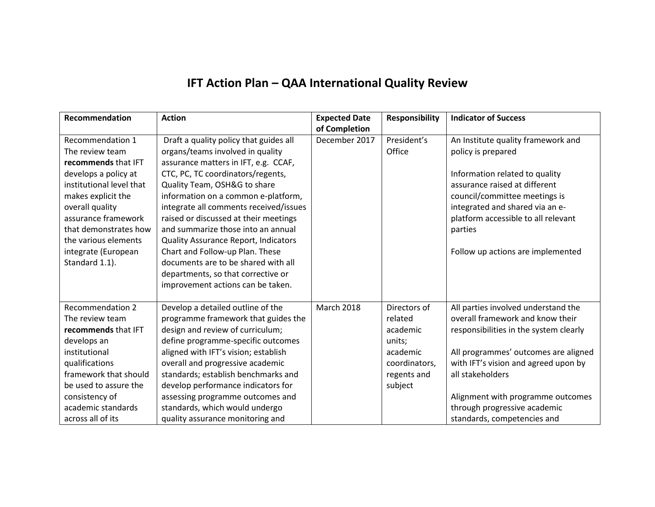## **IFT Action Plan – QAA International Quality Review**

| Recommendation                                                                                                                                                                                                                     | <b>Action</b>                                                                                                                                                                                                                                                                                                                                                                                                         | <b>Expected Date</b>           | <b>Responsibility</b>                                                                                | <b>Indicator of Success</b>                                                                                                                                                                                                                                                                                               |
|------------------------------------------------------------------------------------------------------------------------------------------------------------------------------------------------------------------------------------|-----------------------------------------------------------------------------------------------------------------------------------------------------------------------------------------------------------------------------------------------------------------------------------------------------------------------------------------------------------------------------------------------------------------------|--------------------------------|------------------------------------------------------------------------------------------------------|---------------------------------------------------------------------------------------------------------------------------------------------------------------------------------------------------------------------------------------------------------------------------------------------------------------------------|
| Recommendation 1<br>The review team<br>recommends that IFT<br>develops a policy at<br>institutional level that<br>makes explicit the<br>overall quality                                                                            | Draft a quality policy that guides all<br>organs/teams involved in quality<br>assurance matters in IFT, e.g. CCAF,<br>CTC, PC, TC coordinators/regents,<br>Quality Team, OSH&G to share<br>information on a common e-platform,<br>integrate all comments received/issues                                                                                                                                              | of Completion<br>December 2017 | President's<br>Office                                                                                | An Institute quality framework and<br>policy is prepared<br>Information related to quality<br>assurance raised at different<br>council/committee meetings is<br>integrated and shared via an e-                                                                                                                           |
| assurance framework<br>that demonstrates how<br>the various elements<br>integrate (European<br>Standard 1.1).                                                                                                                      | raised or discussed at their meetings<br>and summarize those into an annual<br><b>Quality Assurance Report, Indicators</b><br>Chart and Follow-up Plan. These<br>documents are to be shared with all<br>departments, so that corrective or<br>improvement actions can be taken.                                                                                                                                       |                                |                                                                                                      | platform accessible to all relevant<br>parties<br>Follow up actions are implemented                                                                                                                                                                                                                                       |
| <b>Recommendation 2</b><br>The review team<br>recommends that IFT<br>develops an<br>institutional<br>qualifications<br>framework that should<br>be used to assure the<br>consistency of<br>academic standards<br>across all of its | Develop a detailed outline of the<br>programme framework that guides the<br>design and review of curriculum;<br>define programme-specific outcomes<br>aligned with IFT's vision; establish<br>overall and progressive academic<br>standards; establish benchmarks and<br>develop performance indicators for<br>assessing programme outcomes and<br>standards, which would undergo<br>quality assurance monitoring and | <b>March 2018</b>              | Directors of<br>related<br>academic<br>units;<br>academic<br>coordinators,<br>regents and<br>subject | All parties involved understand the<br>overall framework and know their<br>responsibilities in the system clearly<br>All programmes' outcomes are aligned<br>with IFT's vision and agreed upon by<br>all stakeholders<br>Alignment with programme outcomes<br>through progressive academic<br>standards, competencies and |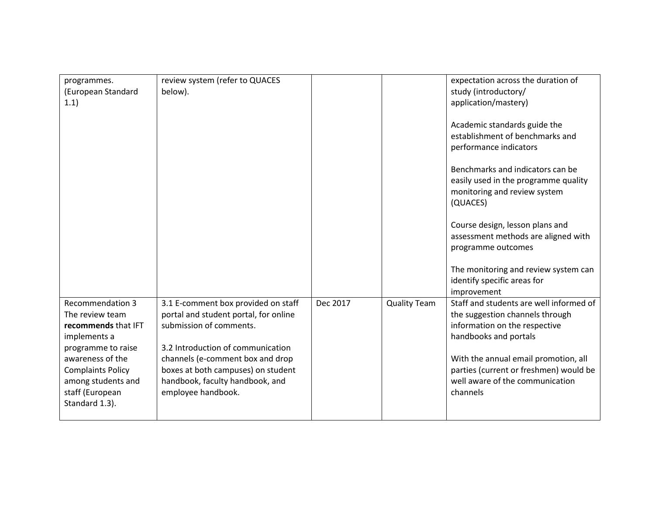| programmes.<br>(European Standard<br>1.1)                                                                                                                                                                          | review system (refer to QUACES<br>below).                                                                                                                                                                                                                                       |          |                     | expectation across the duration of<br>study (introductory/<br>application/mastery)<br>Academic standards guide the<br>establishment of benchmarks and<br>performance indicators<br>Benchmarks and indicators can be<br>easily used in the programme quality<br>monitoring and review system<br>(QUACES)<br>Course design, lesson plans and<br>assessment methods are aligned with<br>programme outcomes<br>The monitoring and review system can<br>identify specific areas for<br>improvement |
|--------------------------------------------------------------------------------------------------------------------------------------------------------------------------------------------------------------------|---------------------------------------------------------------------------------------------------------------------------------------------------------------------------------------------------------------------------------------------------------------------------------|----------|---------------------|-----------------------------------------------------------------------------------------------------------------------------------------------------------------------------------------------------------------------------------------------------------------------------------------------------------------------------------------------------------------------------------------------------------------------------------------------------------------------------------------------|
| <b>Recommendation 3</b><br>The review team<br>recommends that IFT<br>implements a<br>programme to raise<br>awareness of the<br><b>Complaints Policy</b><br>among students and<br>staff (European<br>Standard 1.3). | 3.1 E-comment box provided on staff<br>portal and student portal, for online<br>submission of comments.<br>3.2 Introduction of communication<br>channels (e-comment box and drop<br>boxes at both campuses) on student<br>handbook, faculty handbook, and<br>employee handbook. | Dec 2017 | <b>Quality Team</b> | Staff and students are well informed of<br>the suggestion channels through<br>information on the respective<br>handbooks and portals<br>With the annual email promotion, all<br>parties (current or freshmen) would be<br>well aware of the communication<br>channels                                                                                                                                                                                                                         |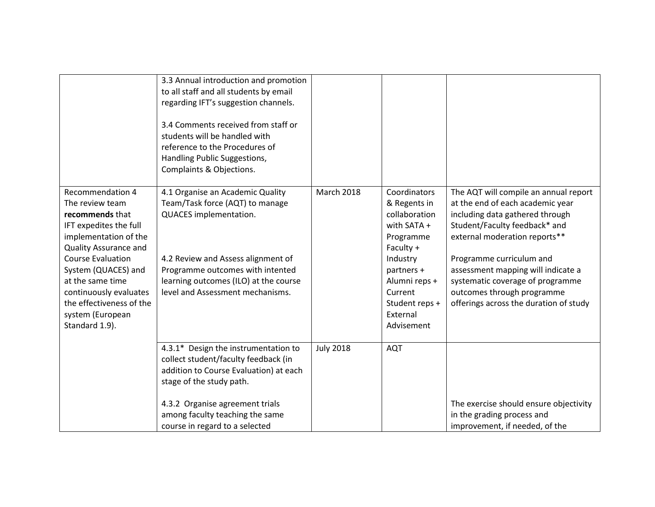|                                                                                                                                                                                                                                                                                                                     | 3.3 Annual introduction and promotion<br>to all staff and all students by email<br>regarding IFT's suggestion channels.<br>3.4 Comments received from staff or<br>students will be handled with<br>reference to the Procedures of<br>Handling Public Suggestions,<br>Complaints & Objections. |                   |                                                                                                                                                                                          |                                                                                                                                                                                                                                                                                                                                                              |
|---------------------------------------------------------------------------------------------------------------------------------------------------------------------------------------------------------------------------------------------------------------------------------------------------------------------|-----------------------------------------------------------------------------------------------------------------------------------------------------------------------------------------------------------------------------------------------------------------------------------------------|-------------------|------------------------------------------------------------------------------------------------------------------------------------------------------------------------------------------|--------------------------------------------------------------------------------------------------------------------------------------------------------------------------------------------------------------------------------------------------------------------------------------------------------------------------------------------------------------|
| <b>Recommendation 4</b><br>The review team<br>recommends that<br>IFT expedites the full<br>implementation of the<br><b>Quality Assurance and</b><br><b>Course Evaluation</b><br>System (QUACES) and<br>at the same time<br>continuously evaluates<br>the effectiveness of the<br>system (European<br>Standard 1.9). | 4.1 Organise an Academic Quality<br>Team/Task force (AQT) to manage<br>QUACES implementation.<br>4.2 Review and Assess alignment of<br>Programme outcomes with intented<br>learning outcomes (ILO) at the course<br>level and Assessment mechanisms.                                          | <b>March 2018</b> | Coordinators<br>& Regents in<br>collaboration<br>with SATA +<br>Programme<br>Faculty +<br>Industry<br>partners +<br>Alumni reps +<br>Current<br>Student reps +<br>External<br>Advisement | The AQT will compile an annual report<br>at the end of each academic year<br>including data gathered through<br>Student/Faculty feedback* and<br>external moderation reports**<br>Programme curriculum and<br>assessment mapping will indicate a<br>systematic coverage of programme<br>outcomes through programme<br>offerings across the duration of study |
|                                                                                                                                                                                                                                                                                                                     | 4.3.1* Design the instrumentation to<br>collect student/faculty feedback (in<br>addition to Course Evaluation) at each<br>stage of the study path.<br>4.3.2 Organise agreement trials<br>among faculty teaching the same<br>course in regard to a selected                                    | <b>July 2018</b>  | <b>AQT</b>                                                                                                                                                                               | The exercise should ensure objectivity<br>in the grading process and<br>improvement, if needed, of the                                                                                                                                                                                                                                                       |